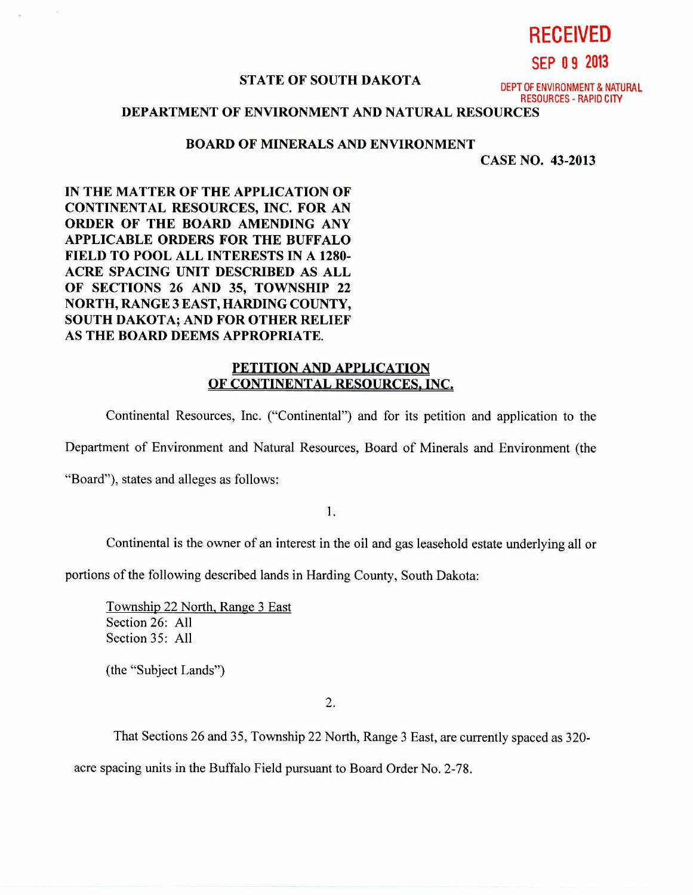# **RECEIVED**

**SEP 0 9 2013** 

# **STATE OF SOUTH DAKOTA** DEPT OF ENVIRONMENT & NATURAL

RESOURCES - RAPID CITY

## **DEPARTMENT OF ENVIRONMENT AND NATURAL RESOURCES**

#### **BOARD OF MINERALS AND ENVIRONMENT**

**CASE NO. 43-2013** 

**IN THE MATTER OF THE APPLICATION OF CONTINENTAL RESOURCES, INC. FOR AN ORDER OF THE BOARD AMENDING ANY APPLICABLE ORDERS FOR THE BUFFALO FIELD TO POOL ALL INTERESTS IN A 1280- ACRE SPACING UNIT DESCRIBED AS ALL OF SECTIONS 26 AND 35, TOWNSHIP 22 NORTH, RANGE 3 EAST, HARDING COUNTY, SOUTH DAKOTA; AND FOR OTHER RELIEF AS THE BOARD DEEMS APPROPRIATE.** 

### **PETITION AND APPLICATION OF CONTINENTAL RESOURCES, INC.**

Continental Resources, Inc. ("Continental") and for its petition and application to the

Department of Environment and Natural Resources, Board of Minerals and Environment (the

"Board"), states and alleges as follows:

1.

Continental is the owner of an interest in the oil and gas leasehold estate underlying all or

portions of the following described lands in Harding County, South Dakota:

Township 22 North, Range 3 East Section 26: All Section 35: All

(the "Subject Lands")

').

That Sections 26 and 35, Township 22 North, Range 3 East, are currently spaced as 320-

acre spacing units in the Buffalo Field pursuant to Board Order No. 2-78.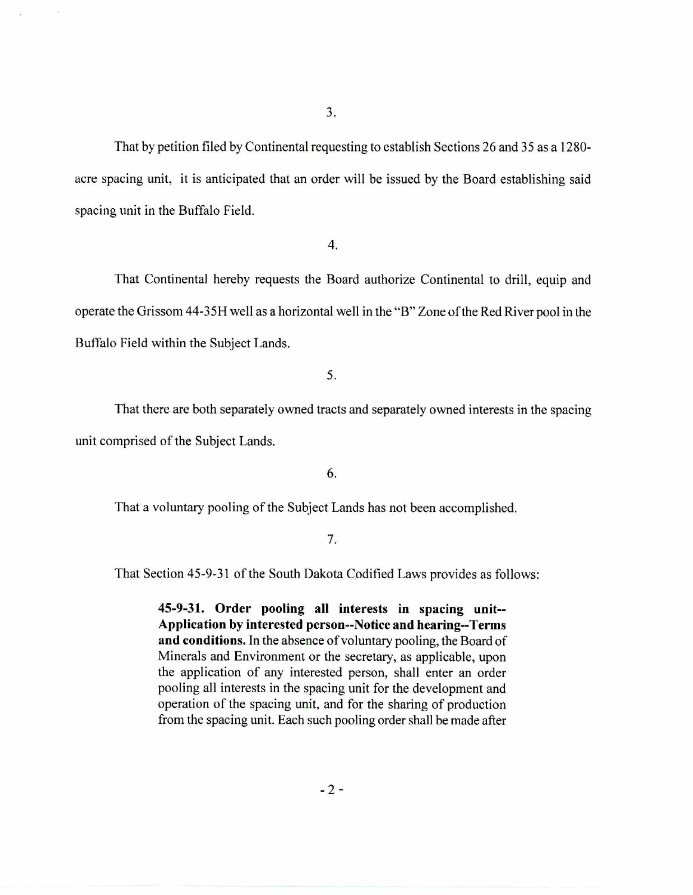That by petition filed by Continental requesting to establish Sections 26 and 35 as a 1280 acre spacing unit, it is anticipated that an order will be issued by the Board establishing said spacing unit in the Buffalo Field.

4.

That Continental hereby requests the Board authorize Continental to drill, equip and operate the Grissom 44-35H well as a horizontal well in the "B" Zone of the Red River pool in the Buffalo Field within the Subject Lands.

5.

That there are both separately owned tracts and separately owned interests in the spacing unit comprised of the Subject Lands.

6.

That a voluntary pooling of the Subject Lands has not been accomplished.

#### 7.

That Section 45-9-31 of the South Dakota Codified Laws provides as follows:

**45-9-31. Order pooling all interests in spacing unit-- Application by interested person--Notice and hearing--Terms and conditions.** In the absence of voluntary pooling, the Board of Minerals and Environment or the secretary, as applicable, upon the application of any interested person, shall enter an order pooling all interests in the spacing unit for the development and operation of the spacing unit, and for the sharing of production from the spacing unit. Each such pooling order shall be made after

 $-2-$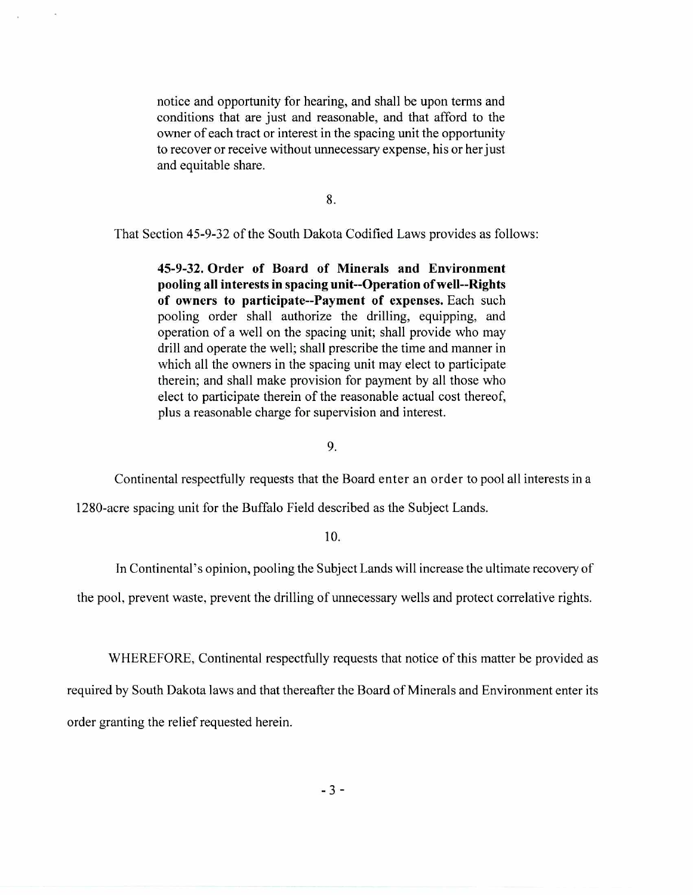notice and opportunity for hearing, and shall be upon terms and conditions that are just and reasonable, and that afford to the owner of each tract or interest in the spacing unit the opportunity to recover or receive without unnecessary expense, his or her just and equitable share.

8.

That Section 45-9-32 of the South Dakota Codified Laws provides as follows:

**45-9-32. Order of Board of Minerals and Environment pooling all interests in spacing unit--Operation of well--Rights of owners to participate--Payment of expenses.** Each such pooling order shall authorize the drilling, equipping, and operation of a well on the spacing unit; shall provide who may drill and operate the well; shall prescribe the time and manner in which all the owners in the spacing unit may elect to participate therein; and shall make provision for payment by all those who elect to participate therein of the reasonable actual cost thereof, plus a reasonable charge for supervision and interest.

9.

Continental respectfully requests that the Board enter an order to pool all interests in a

1280-acre spacing unit for the Buffalo Field described as the Subject Lands.

**10.** 

In Continental's opinion, pooling the Subject Lands will increase the ultimate recovery of

the pool, prevent waste, prevent the drilling of unnecessary wells and protect correlative rights.

WHEREFORE, Continental respectfully requests that notice of this matter be provided as

required by South Dakota laws and that thereafter the Board of Minerals and Environment enter its order granting the relief requested herein.